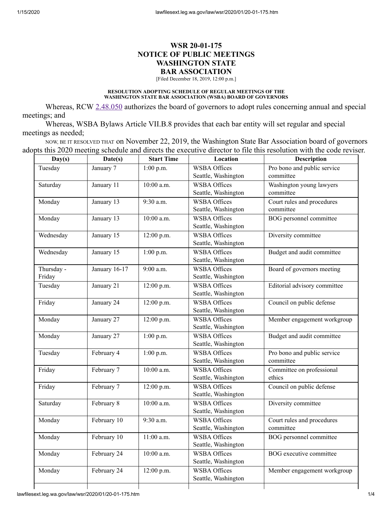# **WSR 20-01-175 NOTICE OF PUBLIC MEETINGS WASHINGTON STATE BAR ASSOCIATION**

[Filed December 18, 2019, 12:00 p.m.]

#### **RESOLUTION ADOPTING SCHEDULE OF REGULAR MEETINGS OF THE WASHINGTON STATE BAR ASSOCIATION (WSBA) BOARD OF GOVERNORS**

Whereas, RCW  $2.48.050$  authorizes the board of governors to adopt rules concerning annual and special meetings; and

Whereas, WSBA Bylaws Article VII.B.8 provides that each bar entity will set regular and special meetings as needed;

NOW, BE IT RESOLVED THAT on November 22, 2019, the Washington State Bar Association board of governors adopts this 2020 meeting schedule and directs the executive director to file this resolution with the code reviser.

| Day(s)               | Date(s)       | <b>Start Time</b> | Location                                   | <b>Description</b>                       |
|----------------------|---------------|-------------------|--------------------------------------------|------------------------------------------|
| Tuesday              | January 7     | 1:00 p.m.         | <b>WSBA Offices</b><br>Seattle, Washington | Pro bono and public service<br>committee |
| Saturday             | January 11    | 10:00 a.m.        | <b>WSBA Offices</b><br>Seattle, Washington | Washington young lawyers<br>committee    |
| Monday               | January 13    | 9:30 a.m.         | <b>WSBA Offices</b><br>Seattle, Washington | Court rules and procedures<br>committee  |
| Monday               | January 13    | $10:00$ a.m.      | <b>WSBA Offices</b><br>Seattle, Washington | BOG personnel committee                  |
| Wednesday            | January 15    | 12:00 p.m.        | <b>WSBA Offices</b><br>Seattle, Washington | Diversity committee                      |
| Wednesday            | January 15    | $1:00$ p.m.       | <b>WSBA Offices</b><br>Seattle, Washington | Budget and audit committee               |
| Thursday -<br>Friday | January 16-17 | 9:00 a.m.         | <b>WSBA Offices</b><br>Seattle, Washington | Board of governors meeting               |
| Tuesday              | January 21    | 12:00 p.m.        | <b>WSBA Offices</b><br>Seattle, Washington | Editorial advisory committee             |
| Friday               | January 24    | 12:00 p.m.        | <b>WSBA Offices</b><br>Seattle, Washington | Council on public defense                |
| Monday               | January 27    | 12:00 p.m.        | <b>WSBA Offices</b><br>Seattle, Washington | Member engagement workgroup              |
| Monday               | January 27    | $1:00$ p.m.       | <b>WSBA Offices</b><br>Seattle, Washington | Budget and audit committee               |
| Tuesday              | February 4    | $1:00$ p.m.       | <b>WSBA Offices</b><br>Seattle, Washington | Pro bono and public service<br>committee |
| Friday               | February 7    | $10:00$ a.m.      | <b>WSBA Offices</b><br>Seattle, Washington | Committee on professional<br>ethics      |
| Friday               | February 7    | 12:00 p.m.        | <b>WSBA Offices</b><br>Seattle, Washington | Council on public defense                |
| Saturday             | February 8    | $10:00$ a.m.      | <b>WSBA Offices</b><br>Seattle, Washington | Diversity committee                      |
| Monday               | February 10   | 9:30 a.m.         | <b>WSBA Offices</b><br>Seattle, Washington | Court rules and procedures<br>committee  |
| Monday               | February 10   | $11:00$ a.m.      | <b>WSBA Offices</b><br>Seattle, Washington | BOG personnel committee                  |
| Monday               | February 24   | $10:00$ a.m.      | <b>WSBA Offices</b><br>Seattle, Washington | <b>BOG</b> executive committee           |
| Monday               | February 24   | 12:00 p.m.        | <b>WSBA Offices</b><br>Seattle, Washington | Member engagement workgroup              |
|                      |               |                   |                                            |                                          |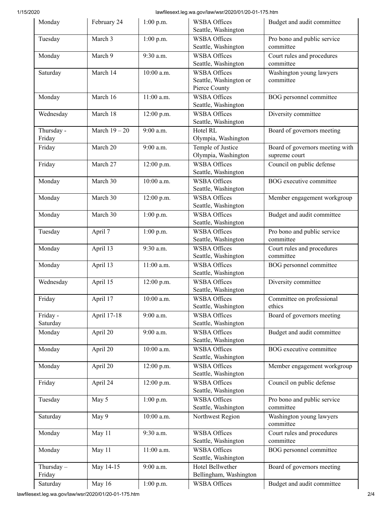# 1/15/2020 lawfilesext.leg.wa.gov/law/wsr/2020/01/20-01-175.htm

| Monday                 | February 24   | $1:00$ p.m.  | <b>WSBA Offices</b><br>Seattle, Washington                     | Budget and audit committee                       |
|------------------------|---------------|--------------|----------------------------------------------------------------|--------------------------------------------------|
| Tuesday                | March 3       | 1:00 p.m.    | <b>WSBA Offices</b><br>Seattle, Washington                     | Pro bono and public service<br>committee         |
| Monday                 | March 9       | 9:30 a.m.    | <b>WSBA Offices</b><br>Seattle, Washington                     | Court rules and procedures<br>committee          |
| Saturday               | March 14      | 10:00 a.m.   | <b>WSBA Offices</b><br>Seattle, Washington or<br>Pierce County | Washington young lawyers<br>committee            |
| Monday                 | March 16      | 11:00 a.m.   | <b>WSBA Offices</b><br>Seattle, Washington                     | BOG personnel committee                          |
| Wednesday              | March 18      | 12:00 p.m.   | <b>WSBA Offices</b><br>Seattle, Washington                     | Diversity committee                              |
| Thursday -<br>Friday   | March $19-20$ | 9:00 a.m.    | Hotel RL<br>Olympia, Washington                                | Board of governors meeting                       |
| Friday                 | March 20      | 9:00 a.m.    | Temple of Justice<br>Olympia, Washington                       | Board of governors meeting with<br>supreme court |
| Friday                 | March 27      | 12:00 p.m.   | <b>WSBA Offices</b><br>Seattle, Washington                     | Council on public defense                        |
| Monday                 | March 30      | 10:00 a.m.   | <b>WSBA Offices</b><br>Seattle, Washington                     | BOG executive committee                          |
| Monday                 | March 30      | 12:00 p.m.   | <b>WSBA Offices</b><br>Seattle, Washington                     | Member engagement workgroup                      |
| Monday                 | March 30      | 1:00 p.m.    | <b>WSBA Offices</b><br>Seattle, Washington                     | Budget and audit committee                       |
| Tuesday                | April 7       | $1:00$ p.m.  | <b>WSBA Offices</b><br>Seattle, Washington                     | Pro bono and public service<br>committee         |
| Monday                 | April 13      | 9:30 a.m.    | <b>WSBA Offices</b><br>Seattle, Washington                     | Court rules and procedures<br>committee          |
| Monday                 | April 13      | $11:00$ a.m. | <b>WSBA Offices</b><br>Seattle, Washington                     | BOG personnel committee                          |
| Wednesday              | April 15      | 12:00 p.m.   | <b>WSBA Offices</b><br>Seattle, Washington                     | Diversity committee                              |
| Friday                 | April 17      | 10:00 a.m.   | <b>WSBA Offices</b><br>Seattle, Washington                     | Committee on professional<br>ethics              |
| Friday -<br>Saturday   | April 17-18   | 9:00 a.m.    | <b>WSBA Offices</b><br>Seattle, Washington                     | Board of governors meeting                       |
| Monday                 | April 20      | 9:00 a.m.    | <b>WSBA Offices</b><br>Seattle, Washington                     | Budget and audit committee                       |
| Monday                 | April 20      | 10:00 a.m.   | <b>WSBA Offices</b><br>Seattle, Washington                     | BOG executive committee                          |
| Monday                 | April 20      | 12:00 p.m.   | <b>WSBA Offices</b><br>Seattle, Washington                     | Member engagement workgroup                      |
| Friday                 | April 24      | 12:00 p.m.   | <b>WSBA Offices</b><br>Seattle, Washington                     | Council on public defense                        |
| Tuesday                | May 5         | $1:00$ p.m.  | <b>WSBA Offices</b><br>Seattle, Washington                     | Pro bono and public service<br>committee         |
| Saturday               | May 9         | 10:00 a.m.   | Northwest Region                                               | Washington young lawyers<br>committee            |
| Monday                 | May 11        | 9:30 a.m.    | <b>WSBA Offices</b><br>Seattle, Washington                     | Court rules and procedures<br>committee          |
| Monday                 | May 11        | 11:00 a.m.   | <b>WSBA Offices</b><br>Seattle, Washington                     | BOG personnel committee                          |
| Thursday $-$<br>Friday | May 14-15     | 9:00 a.m.    | Hotel Bellwether<br>Bellingham, Washington                     | Board of governors meeting                       |
| Saturday               | May 16        | $1:00$ p.m.  | <b>WSBA Offices</b>                                            | Budget and audit committee                       |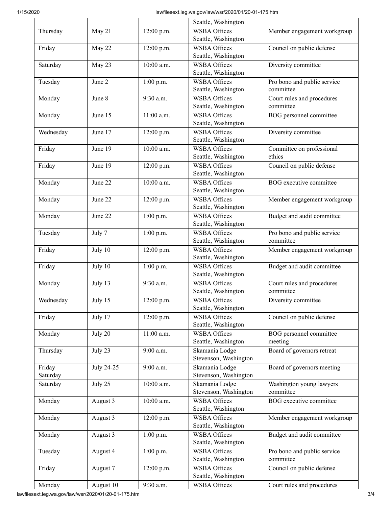## 1/15/2020 lawfilesext.leg.wa.gov/law/wsr/2020/01/20-01-175.htm

|                     |            |              | Seattle, Washington                        |                                          |
|---------------------|------------|--------------|--------------------------------------------|------------------------------------------|
| Thursday            | May 21     | 12:00 p.m.   | <b>WSBA Offices</b><br>Seattle, Washington | Member engagement workgroup              |
| Friday              | May 22     | 12:00 p.m.   | <b>WSBA Offices</b><br>Seattle, Washington | Council on public defense                |
| Saturday            | May 23     | 10:00 a.m.   | <b>WSBA Offices</b><br>Seattle, Washington | Diversity committee                      |
| Tuesday             | June 2     | 1:00 p.m.    | <b>WSBA Offices</b><br>Seattle, Washington | Pro bono and public service<br>committee |
| Monday              | June 8     | 9:30 a.m.    | <b>WSBA Offices</b><br>Seattle, Washington | Court rules and procedures<br>committee  |
| Monday              | June 15    | 11:00 a.m.   | <b>WSBA Offices</b><br>Seattle, Washington | BOG personnel committee                  |
| Wednesday           | June 17    | 12:00 p.m.   | <b>WSBA Offices</b><br>Seattle, Washington | Diversity committee                      |
| Friday              | June 19    | $10:00$ a.m. | <b>WSBA Offices</b><br>Seattle, Washington | Committee on professional<br>ethics      |
| Friday              | June 19    | 12:00 p.m.   | <b>WSBA Offices</b><br>Seattle, Washington | Council on public defense                |
| Monday              | June 22    | 10:00 a.m.   | <b>WSBA Offices</b><br>Seattle, Washington | BOG executive committee                  |
| Monday              | June 22    | 12:00 p.m.   | <b>WSBA Offices</b><br>Seattle, Washington | Member engagement workgroup              |
| Monday              | June 22    | $1:00$ p.m.  | <b>WSBA Offices</b><br>Seattle, Washington | Budget and audit committee               |
| Tuesday             | July 7     | 1:00 p.m.    | <b>WSBA Offices</b><br>Seattle, Washington | Pro bono and public service<br>committee |
| Friday              | July 10    | 12:00 p.m.   | <b>WSBA Offices</b><br>Seattle, Washington | Member engagement workgroup              |
| Friday              | July 10    | 1:00 p.m.    | <b>WSBA Offices</b><br>Seattle, Washington | Budget and audit committee               |
| Monday              | July 13    | 9:30 a.m.    | <b>WSBA Offices</b><br>Seattle, Washington | Court rules and procedures<br>committee  |
| Wednesday           | July 15    | 12:00 p.m.   | <b>WSBA Offices</b><br>Seattle, Washington | Diversity committee                      |
| Friday              | July 17    | 12:00 p.m.   | <b>WSBA Offices</b><br>Seattle, Washington | Council on public defense                |
| Monday              | July 20    | 11:00 a.m.   | <b>WSBA Offices</b><br>Seattle, Washington | BOG personnel committee<br>meeting       |
| Thursday            | July 23    | 9:00 a.m.    | Skamania Lodge<br>Stevenson, Washington    | Board of governors retreat               |
| Friday-<br>Saturday | July 24-25 | 9:00 a.m.    | Skamania Lodge<br>Stevenson, Washington    | Board of governors meeting               |
| Saturday            | July 25    | 10:00 a.m.   | Skamania Lodge<br>Stevenson, Washington    | Washington young lawyers<br>committee    |
| Monday              | August 3   | 10:00 a.m.   | <b>WSBA Offices</b><br>Seattle, Washington | BOG executive committee                  |
| Monday              | August 3   | 12:00 p.m.   | <b>WSBA Offices</b><br>Seattle, Washington | Member engagement workgroup              |
| Monday              | August 3   | 1:00 p.m.    | <b>WSBA Offices</b><br>Seattle, Washington | Budget and audit committee               |
| Tuesday             | August 4   | $1:00$ p.m.  | <b>WSBA Offices</b><br>Seattle, Washington | Pro bono and public service<br>committee |
| Friday              | August 7   | 12:00 p.m.   | <b>WSBA Offices</b><br>Seattle, Washington | Council on public defense                |
| Monday              | August 10  | 9:30 a.m.    | <b>WSBA Offices</b>                        | Court rules and procedures               |